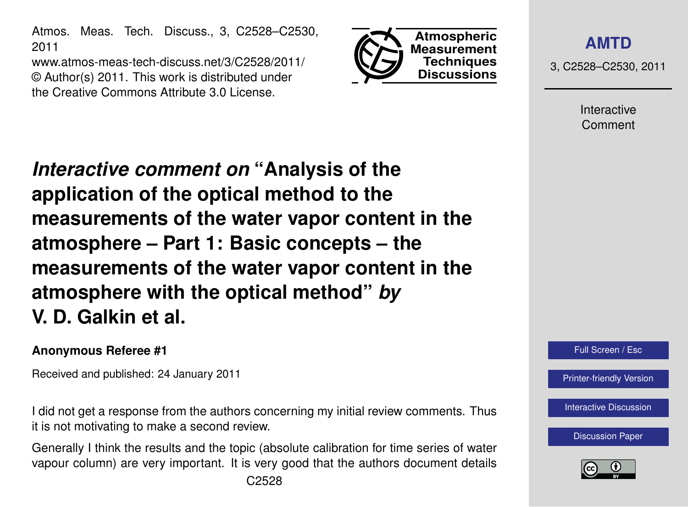Atmos. Meas. Tech. Discuss., 3, C2528–C2530, 2011

www.atmos-meas-tech-discuss.net/3/C2528/2011/ © Author(s) 2011. This work is distributed under the Creative Commons Attribute 3.0 License.



**[AMTD](http://www.atmos-meas-tech-discuss.net)**

3, C2528–C2530, 2011

Interactive Comment

*Interactive comment on* **"Analysis of the application of the optical method to the measurements of the water vapor content in the atmosphere – Part 1: Basic concepts – the measurements of the water vapor content in the atmosphere with the optical method"** *by* **V. D. Galkin et al.**

## **Anonymous Referee #1**

Received and published: 24 January 2011

I did not get a response from the authors concerning my initial review comments. Thus it is not motivating to make a second review.

Generally I think the results and the topic (absolute calibration for time series of water vapour column) are very important. It is very good that the authors document details



[Printer-friendly Version](http://www.atmos-meas-tech-discuss.net/3/C2528/2011/amtd-3-C2528-2011-print.pdf)

[Interactive Discussion](http://www.atmos-meas-tech-discuss.net/3/5705/2010/amtd-3-5705-2010-discussion.html)

[Discussion Paper](http://www.atmos-meas-tech-discuss.net/3/5705/2010/amtd-3-5705-2010.pdf)

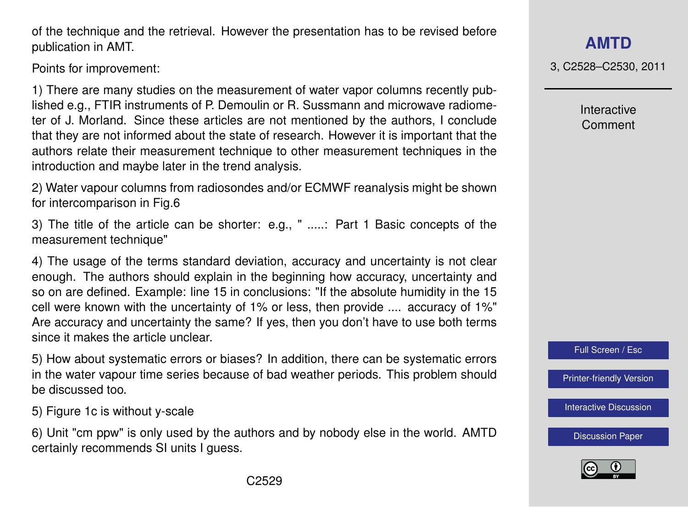ter of J. Morland. Since these articles are not mentioned by the authors, I conclude

that they are not informed about the state of research. However it is important that the authors relate their measurement technique to other measurement techniques in the introduction and maybe later in the trend analysis.

of the technique and the retrieval. However the presentation has to be revised before

1) There are many studies on the measurement of water vapor columns recently published e.g., FTIR instruments of P. Demoulin or R. Sussmann and microwave radiome-

2) Water vapour columns from radiosondes and/or ECMWF reanalysis might be shown for intercomparison in Fig.6

3) The title of the article can be shorter: e.g., " .....: Part 1 Basic concepts of the measurement technique"

4) The usage of the terms standard deviation, accuracy and uncertainty is not clear enough. The authors should explain in the beginning how accuracy, uncertainty and so on are defined. Example: line 15 in conclusions: "If the absolute humidity in the 15 cell were known with the uncertainty of 1% or less, then provide .... accuracy of 1%" Are accuracy and uncertainty the same? If yes, then you don't have to use both terms since it makes the article unclear.

5) How about systematic errors or biases? In addition, there can be systematic errors in the water vapour time series because of bad weather periods. This problem should be discussed too.

5) Figure 1c is without y-scale

publication in AMT.

Points for improvement:

6) Unit "cm ppw" is only used by the authors and by nobody else in the world. AMTD certainly recommends SI units I guess.

3, C2528–C2530, 2011

Interactive Comment

Full Screen / Esc

[Printer-friendly Version](http://www.atmos-meas-tech-discuss.net/3/C2528/2011/amtd-3-C2528-2011-print.pdf)

[Interactive Discussion](http://www.atmos-meas-tech-discuss.net/3/5705/2010/amtd-3-5705-2010-discussion.html)

[Discussion Paper](http://www.atmos-meas-tech-discuss.net/3/5705/2010/amtd-3-5705-2010.pdf)